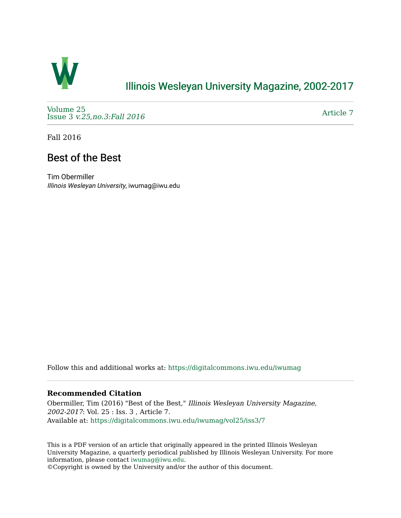

## [Illinois Wesleyan University Magazine, 2002-2017](https://digitalcommons.iwu.edu/iwumag)

[Volume 25](https://digitalcommons.iwu.edu/iwumag/vol25)  Issue 3 [v.25,no.3:Fall 2016](https://digitalcommons.iwu.edu/iwumag/vol25/iss3) 

[Article 7](https://digitalcommons.iwu.edu/iwumag/vol25/iss3/7) 

Fall 2016

## Best of the Best

Tim Obermiller Illinois Wesleyan University, iwumag@iwu.edu

Follow this and additional works at: [https://digitalcommons.iwu.edu/iwumag](https://digitalcommons.iwu.edu/iwumag?utm_source=digitalcommons.iwu.edu%2Fiwumag%2Fvol25%2Fiss3%2F7&utm_medium=PDF&utm_campaign=PDFCoverPages) 

## **Recommended Citation**

Obermiller, Tim (2016) "Best of the Best," Illinois Wesleyan University Magazine, 2002-2017: Vol. 25 : Iss. 3 , Article 7. Available at: [https://digitalcommons.iwu.edu/iwumag/vol25/iss3/7](https://digitalcommons.iwu.edu/iwumag/vol25/iss3/7?utm_source=digitalcommons.iwu.edu%2Fiwumag%2Fvol25%2Fiss3%2F7&utm_medium=PDF&utm_campaign=PDFCoverPages)

This is a PDF version of an article that originally appeared in the printed Illinois Wesleyan University Magazine, a quarterly periodical published by Illinois Wesleyan University. For more information, please contact [iwumag@iwu.edu](mailto:iwumag@iwu.edu).

©Copyright is owned by the University and/or the author of this document.